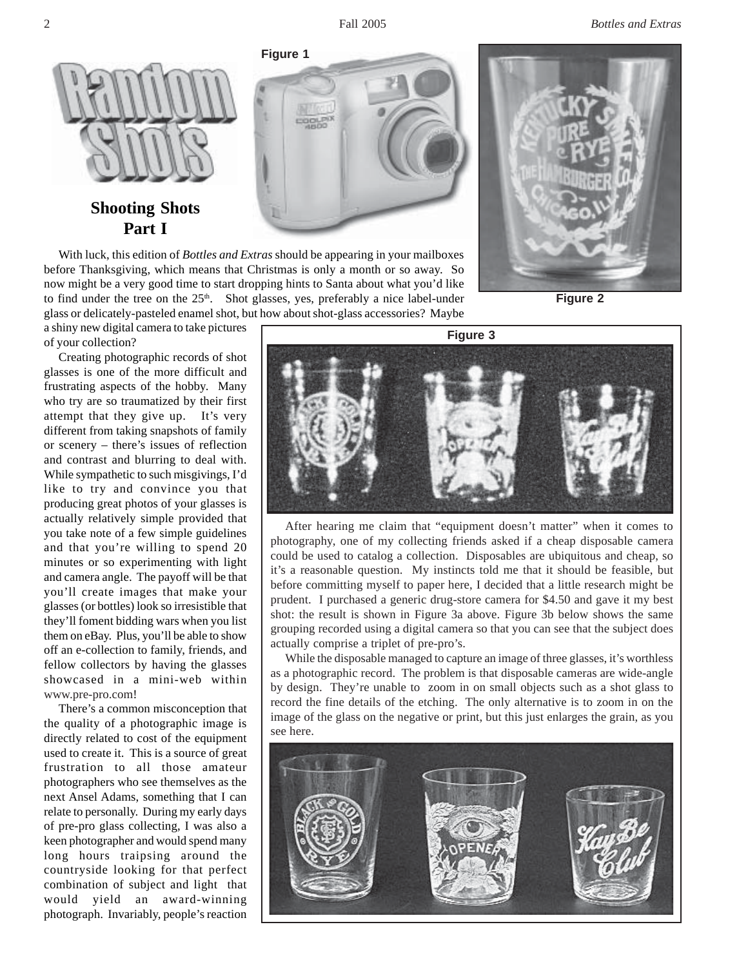2 Fall 2005 *Bottles and Extras*



# **Shooting Shots Part I**

With luck, this edition of *Bottles and Extras* should be appearing in your mailboxes before Thanksgiving, which means that Christmas is only a month or so away. So now might be a very good time to start dropping hints to Santa about what you'd like to find under the tree on the  $25<sup>th</sup>$ . Shot glasses, yes, preferably a nice label-under glass or delicately-pasteled enamel shot, but how about shot-glass accessories? Maybe

a shiny new digital camera to take pictures of your collection?

Creating photographic records of shot glasses is one of the more difficult and frustrating aspects of the hobby. Many who try are so traumatized by their first attempt that they give up. It's very different from taking snapshots of family or scenery – there's issues of reflection and contrast and blurring to deal with. While sympathetic to such misgivings, I'd like to try and convince you that producing great photos of your glasses is actually relatively simple provided that you take note of a few simple guidelines and that you're willing to spend 20 minutes or so experimenting with light and camera angle. The payoff will be that you'll create images that make your glasses (or bottles) look so irresistible that they'll foment bidding wars when you list them on eBay. Plus, you'll be able to show off an e-collection to family, friends, and fellow collectors by having the glasses showcased in a mini-web within www.pre-pro.com!

There's a common misconception that the quality of a photographic image is directly related to cost of the equipment used to create it. This is a source of great frustration to all those amateur photographers who see themselves as the next Ansel Adams, something that I can relate to personally. During my early days of pre-pro glass collecting, I was also a keen photographer and would spend many long hours traipsing around the countryside looking for that perfect combination of subject and light that would yield an award-winning photograph. Invariably, people's reaction



**Figure 2 Figure 3**



After hearing me claim that "equipment doesn't matter" when it comes to photography, one of my collecting friends asked if a cheap disposable camera could be used to catalog a collection. Disposables are ubiquitous and cheap, so it's a reasonable question. My instincts told me that it should be feasible, but before committing myself to paper here, I decided that a little research might be prudent. I purchased a generic drug-store camera for \$4.50 and gave it my best shot: the result is shown in Figure 3a above. Figure 3b below shows the same grouping recorded using a digital camera so that you can see that the subject does actually comprise a triplet of pre-pro's.

While the disposable managed to capture an image of three glasses, it's worthless as a photographic record. The problem is that disposable cameras are wide-angle by design. They're unable to zoom in on small objects such as a shot glass to record the fine details of the etching. The only alternative is to zoom in on the image of the glass on the negative or print, but this just enlarges the grain, as you see here.

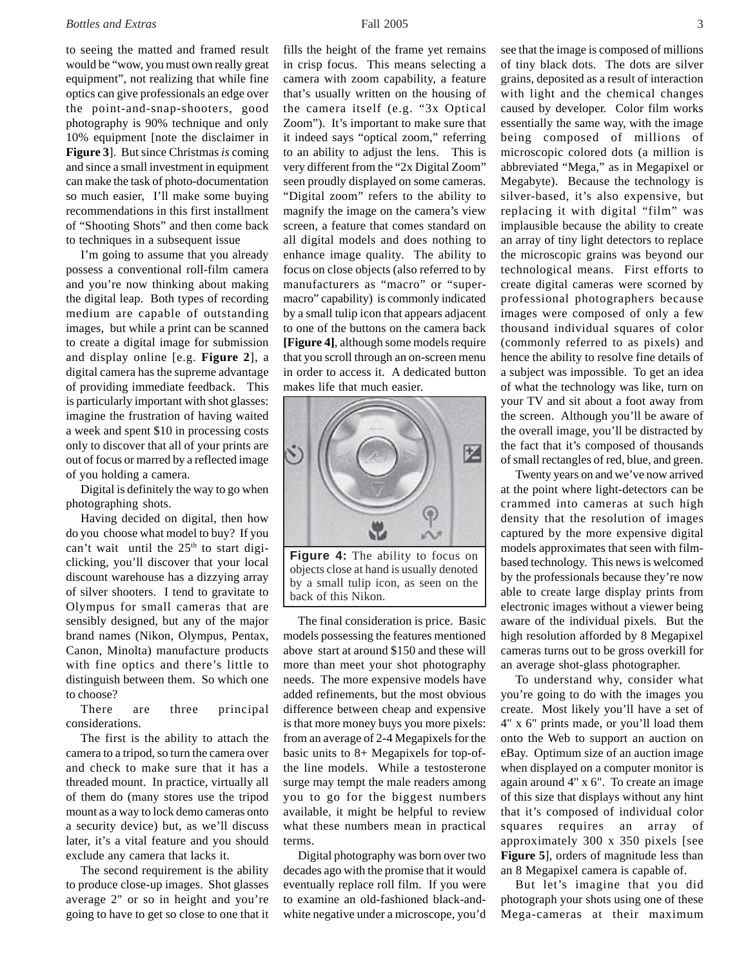## *Bottles and Extras* 3

to seeing the matted and framed result would be "wow, you must own really great equipment", not realizing that while fine optics can give professionals an edge over the point-and-snap-shooters, good photography is 90% technique and only 10% equipment [note the disclaimer in **Figure 3**]. But since Christmas *is* coming and since a small investment in equipment can make the task of photo-documentation so much easier, I'll make some buying recommendations in this first installment of "Shooting Shots" and then come back to techniques in a subsequent issue

I'm going to assume that you already possess a conventional roll-film camera and you're now thinking about making the digital leap. Both types of recording medium are capable of outstanding images, but while a print can be scanned to create a digital image for submission and display online [e.g. **Figure 2**], a digital camera has the supreme advantage of providing immediate feedback. This is particularly important with shot glasses: imagine the frustration of having waited a week and spent \$10 in processing costs only to discover that all of your prints are out of focus or marred by a reflected image of you holding a camera.

Digital is definitely the way to go when photographing shots.

Having decided on digital, then how do you choose what model to buy? If you can't wait until the  $25<sup>th</sup>$  to start digiclicking, you'll discover that your local discount warehouse has a dizzying array of silver shooters. I tend to gravitate to Olympus for small cameras that are sensibly designed, but any of the major brand names (Nikon, Olympus, Pentax, Canon, Minolta) manufacture products with fine optics and there's little to distinguish between them. So which one to choose?

There are three principal considerations.

The first is the ability to attach the camera to a tripod, so turn the camera over and check to make sure that it has a threaded mount. In practice, virtually all of them do (many stores use the tripod mount as a way to lock demo cameras onto a security device) but, as we'll discuss later, it's a vital feature and you should exclude any camera that lacks it.

The second requirement is the ability to produce close-up images. Shot glasses average 2" or so in height and you're going to have to get so close to one that it

fills the height of the frame yet remains in crisp focus. This means selecting a camera with zoom capability, a feature that's usually written on the housing of the camera itself (e.g. "3x Optical Zoom"). It's important to make sure that it indeed says "optical zoom," referring to an ability to adjust the lens. This is very different from the "2x Digital Zoom" seen proudly displayed on some cameras. "Digital zoom" refers to the ability to magnify the image on the camera's view screen, a feature that comes standard on all digital models and does nothing to enhance image quality. The ability to focus on close objects (also referred to by manufacturers as "macro" or "supermacro" capability) is commonly indicated by a small tulip icon that appears adjacent to one of the buttons on the camera back **[Figure 4]**, although some models require that you scroll through an on-screen menu in order to access it. A dedicated button makes life that much easier.



**Figure 4:** The ability to focus on objects close at hand is usually denoted by a small tulip icon, as seen on the back of this Nikon.

The final consideration is price. Basic models possessing the features mentioned above start at around \$150 and these will more than meet your shot photography needs. The more expensive models have added refinements, but the most obvious difference between cheap and expensive is that more money buys you more pixels: from an average of 2-4 Megapixels for the basic units to 8+ Megapixels for top-ofthe line models. While a testosterone surge may tempt the male readers among you to go for the biggest numbers available, it might be helpful to review what these numbers mean in practical terms.

Digital photography was born over two decades ago with the promise that it would eventually replace roll film. If you were to examine an old-fashioned black-andwhite negative under a microscope, you'd

see that the image is composed of millions of tiny black dots. The dots are silver grains, deposited as a result of interaction with light and the chemical changes caused by developer. Color film works essentially the same way, with the image being composed of millions of microscopic colored dots (a million is abbreviated "Mega," as in Megapixel or Megabyte). Because the technology is silver-based, it's also expensive, but replacing it with digital "film" was implausible because the ability to create an array of tiny light detectors to replace the microscopic grains was beyond our technological means. First efforts to create digital cameras were scorned by professional photographers because images were composed of only a few thousand individual squares of color (commonly referred to as pixels) and hence the ability to resolve fine details of a subject was impossible. To get an idea of what the technology was like, turn on your TV and sit about a foot away from the screen. Although you'll be aware of the overall image, you'll be distracted by the fact that it's composed of thousands of small rectangles of red, blue, and green.

Twenty years on and we've now arrived at the point where light-detectors can be crammed into cameras at such high density that the resolution of images captured by the more expensive digital models approximates that seen with filmbased technology. This news is welcomed by the professionals because they're now able to create large display prints from electronic images without a viewer being aware of the individual pixels. But the high resolution afforded by 8 Megapixel cameras turns out to be gross overkill for an average shot-glass photographer.

To understand why, consider what you're going to do with the images you create. Most likely you'll have a set of 4" x 6" prints made, or you'll load them onto the Web to support an auction on eBay. Optimum size of an auction image when displayed on a computer monitor is again around 4" x 6". To create an image of this size that displays without any hint that it's composed of individual color squares requires an array of approximately 300 x 350 pixels [see **Figure 5**], orders of magnitude less than an 8 Megapixel camera is capable of.

But let's imagine that you did photograph your shots using one of these Mega-cameras at their maximum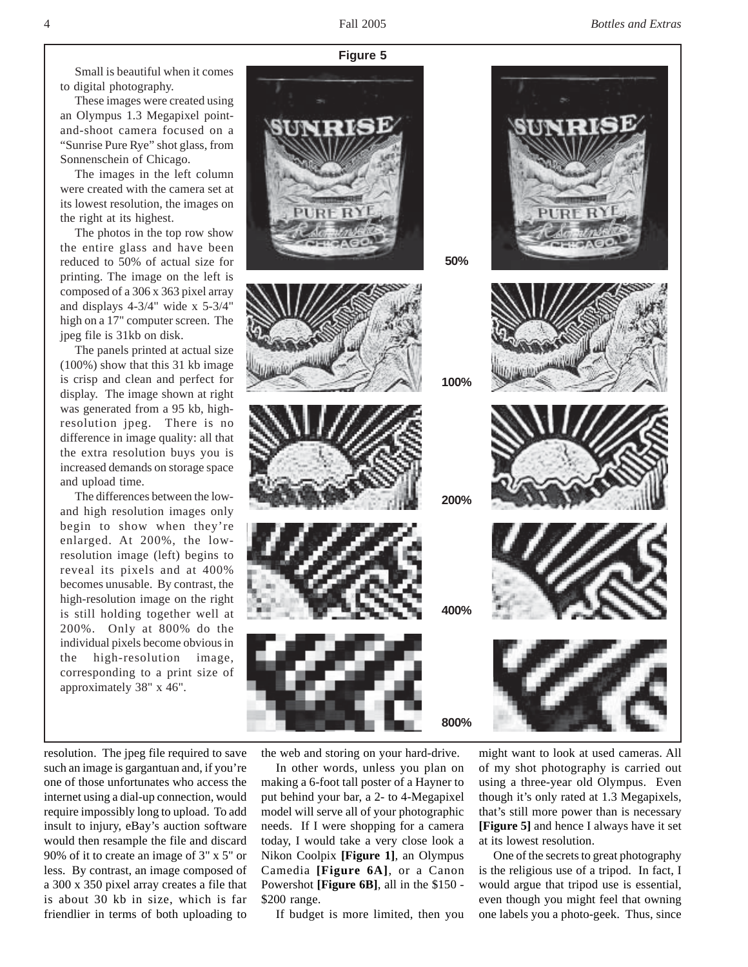Small is beautiful when it comes to digital photography.

These images were created using an Olympus 1.3 Megapixel pointand-shoot camera focused on a "Sunrise Pure Rye" shot glass, from Sonnenschein of Chicago.

The images in the left column were created with the camera set at its lowest resolution, the images on the right at its highest.

The photos in the top row show the entire glass and have been reduced to 50% of actual size for printing. The image on the left is composed of a 306 x 363 pixel array and displays 4-3/4" wide x 5-3/4" high on a 17" computer screen. The jpeg file is 31kb on disk.

The panels printed at actual size (100%) show that this 31 kb image is crisp and clean and perfect for display. The image shown at right was generated from a 95 kb, highresolution jpeg. There is no difference in image quality: all that the extra resolution buys you is increased demands on storage space and upload time.

The differences between the lowand high resolution images only begin to show when they're enlarged. At 200%, the lowresolution image (left) begins to reveal its pixels and at 400% becomes unusable. By contrast, the high-resolution image on the right is still holding together well at 200%. Only at 800% do the individual pixels become obvious in the high-resolution image, corresponding to a print size of approximately 38" x 46".

resolution. The jpeg file required to save such an image is gargantuan and, if you're one of those unfortunates who access the internet using a dial-up connection, would require impossibly long to upload. To add insult to injury, eBay's auction software would then resample the file and discard 90% of it to create an image of 3" x 5" or less. By contrast, an image composed of a 300 x 350 pixel array creates a file that is about 30 kb in size, which is far friendlier in terms of both uploading to

the web and storing on your hard-drive.

In other words, unless you plan on making a 6-foot tall poster of a Hayner to put behind your bar, a 2- to 4-Megapixel model will serve all of your photographic needs. If I were shopping for a camera today, I would take a very close look a Nikon Coolpix **[Figure 1]**, an Olympus Camedia **[Figure 6A]**, or a Canon Powershot **[Figure 6B]**, all in the \$150 - \$200 range.

If budget is more limited, then you

might want to look at used cameras. All of my shot photography is carried out using a three-year old Olympus. Even though it's only rated at 1.3 Megapixels, that's still more power than is necessary **[Figure 5]** and hence I always have it set at its lowest resolution.

One of the secrets to great photography is the religious use of a tripod. In fact, I would argue that tripod use is essential, even though you might feel that owning one labels you a photo-geek. Thus, since